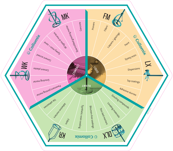